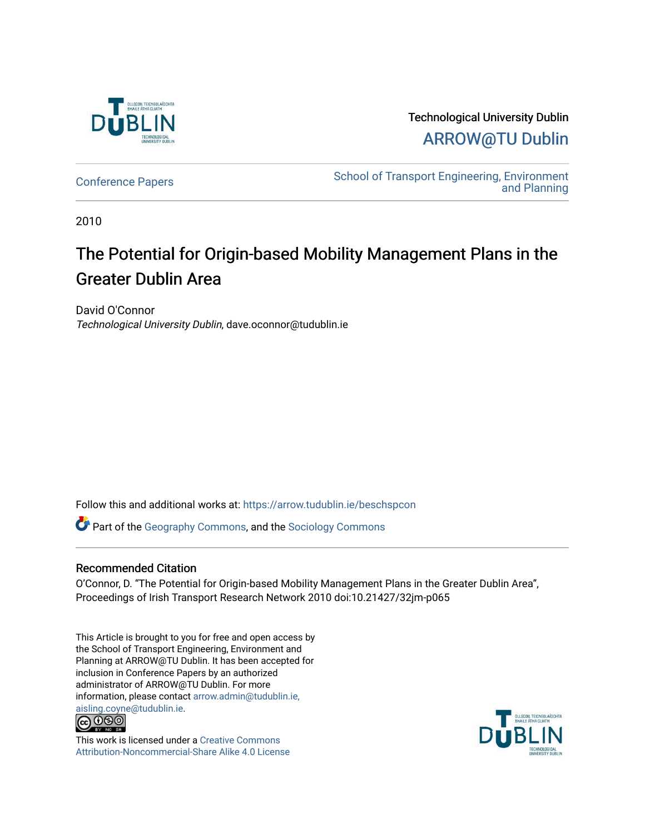

Technological University Dublin [ARROW@TU Dublin](https://arrow.tudublin.ie/) 

[Conference Papers](https://arrow.tudublin.ie/beschspcon) [School of Transport Engineering, Environment](https://arrow.tudublin.ie/beschsp)  [and Planning](https://arrow.tudublin.ie/beschsp) 

2010

# The Potential for Origin-based Mobility Management Plans in the Greater Dublin Area

David O'Connor Technological University Dublin, dave.oconnor@tudublin.ie

Follow this and additional works at: [https://arrow.tudublin.ie/beschspcon](https://arrow.tudublin.ie/beschspcon?utm_source=arrow.tudublin.ie%2Fbeschspcon%2F21&utm_medium=PDF&utm_campaign=PDFCoverPages) 

Part of the [Geography Commons,](http://network.bepress.com/hgg/discipline/354?utm_source=arrow.tudublin.ie%2Fbeschspcon%2F21&utm_medium=PDF&utm_campaign=PDFCoverPages) and the [Sociology Commons](http://network.bepress.com/hgg/discipline/416?utm_source=arrow.tudublin.ie%2Fbeschspcon%2F21&utm_medium=PDF&utm_campaign=PDFCoverPages) 

#### Recommended Citation

O'Connor, D. "The Potential for Origin-based Mobility Management Plans in the Greater Dublin Area", Proceedings of Irish Transport Research Network 2010 doi:10.21427/32jm-p065

This Article is brought to you for free and open access by the School of Transport Engineering, Environment and Planning at ARROW@TU Dublin. It has been accepted for inclusion in Conference Papers by an authorized administrator of ARROW@TU Dublin. For more information, please contact [arrow.admin@tudublin.ie,](mailto:arrow.admin@tudublin.ie,%20aisling.coyne@tudublin.ie)  [aisling.coyne@tudublin.ie.](mailto:arrow.admin@tudublin.ie,%20aisling.coyne@tudublin.ie)<br>© 090



This work is licensed under a [Creative Commons](http://creativecommons.org/licenses/by-nc-sa/4.0/) [Attribution-Noncommercial-Share Alike 4.0 License](http://creativecommons.org/licenses/by-nc-sa/4.0/)

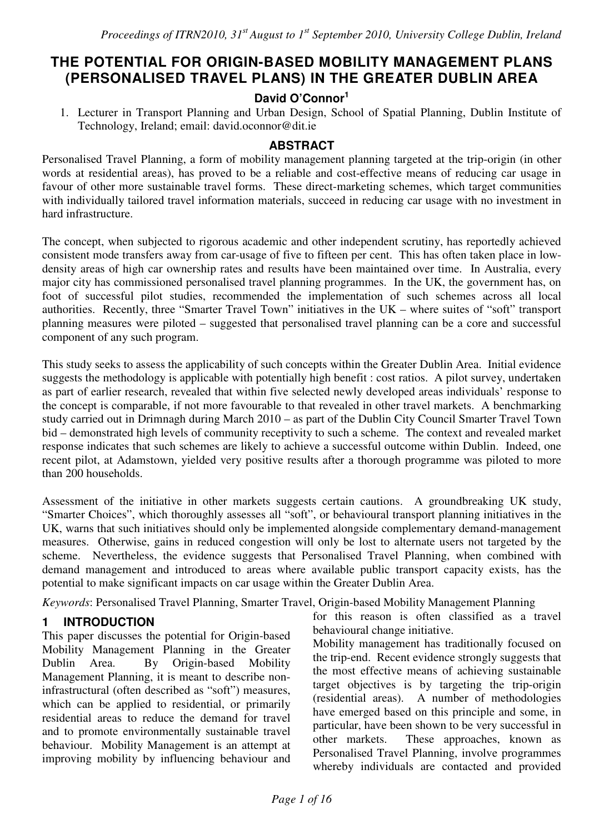## **THE POTENTIAL FOR ORIGIN-BASED MOBILITY MANAGEMENT PLANS (PERSONALISED TRAVEL PLANS) IN THE GREATER DUBLIN AREA**

## **David O'Connor<sup>1</sup>**

1. Lecturer in Transport Planning and Urban Design, School of Spatial Planning, Dublin Institute of Technology, Ireland; email: david.oconnor@dit.ie

#### **ABSTRACT**

Personalised Travel Planning, a form of mobility management planning targeted at the trip-origin (in other words at residential areas), has proved to be a reliable and cost-effective means of reducing car usage in favour of other more sustainable travel forms. These direct-marketing schemes, which target communities with individually tailored travel information materials, succeed in reducing car usage with no investment in hard infrastructure.

The concept, when subjected to rigorous academic and other independent scrutiny, has reportedly achieved consistent mode transfers away from car-usage of five to fifteen per cent. This has often taken place in lowdensity areas of high car ownership rates and results have been maintained over time. In Australia, every major city has commissioned personalised travel planning programmes. In the UK, the government has, on foot of successful pilot studies, recommended the implementation of such schemes across all local authorities. Recently, three "Smarter Travel Town" initiatives in the UK – where suites of "soft" transport planning measures were piloted – suggested that personalised travel planning can be a core and successful component of any such program.

This study seeks to assess the applicability of such concepts within the Greater Dublin Area. Initial evidence suggests the methodology is applicable with potentially high benefit : cost ratios. A pilot survey, undertaken as part of earlier research, revealed that within five selected newly developed areas individuals' response to the concept is comparable, if not more favourable to that revealed in other travel markets. A benchmarking study carried out in Drimnagh during March 2010 – as part of the Dublin City Council Smarter Travel Town bid – demonstrated high levels of community receptivity to such a scheme. The context and revealed market response indicates that such schemes are likely to achieve a successful outcome within Dublin. Indeed, one recent pilot, at Adamstown, yielded very positive results after a thorough programme was piloted to more than 200 households.

Assessment of the initiative in other markets suggests certain cautions. A groundbreaking UK study, "Smarter Choices", which thoroughly assesses all "soft", or behavioural transport planning initiatives in the UK, warns that such initiatives should only be implemented alongside complementary demand-management measures. Otherwise, gains in reduced congestion will only be lost to alternate users not targeted by the scheme. Nevertheless, the evidence suggests that Personalised Travel Planning, when combined with demand management and introduced to areas where available public transport capacity exists, has the potential to make significant impacts on car usage within the Greater Dublin Area.

*Keywords*: Personalised Travel Planning, Smarter Travel, Origin-based Mobility Management Planning

#### **1 INTRODUCTION**

This paper discusses the potential for Origin-based Mobility Management Planning in the Greater Dublin Area. By Origin-based Mobility Management Planning, it is meant to describe noninfrastructural (often described as "soft") measures, which can be applied to residential, or primarily residential areas to reduce the demand for travel and to promote environmentally sustainable travel behaviour. Mobility Management is an attempt at improving mobility by influencing behaviour and for this reason is often classified as a travel behavioural change initiative.

Mobility management has traditionally focused on the trip-end. Recent evidence strongly suggests that the most effective means of achieving sustainable target objectives is by targeting the trip-origin (residential areas). A number of methodologies have emerged based on this principle and some, in particular, have been shown to be very successful in other markets. These approaches, known as Personalised Travel Planning, involve programmes whereby individuals are contacted and provided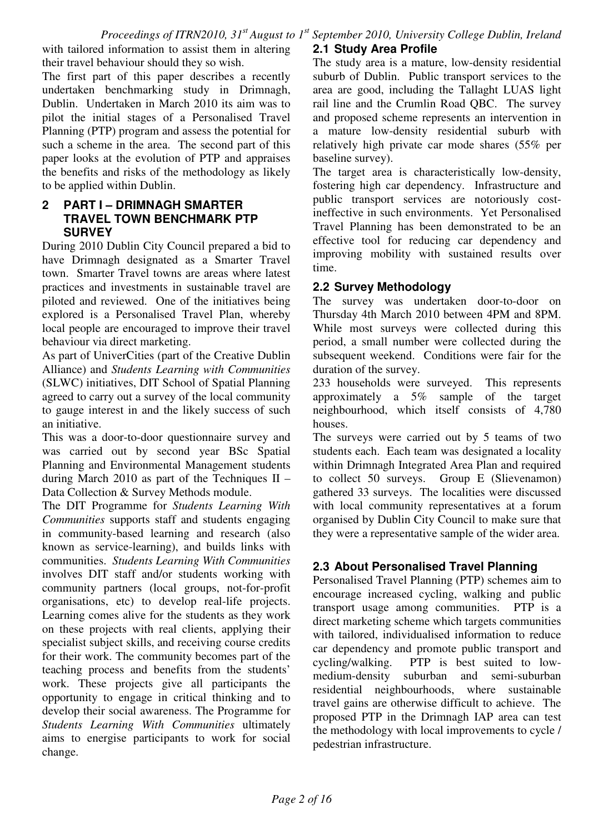with tailored information to assist them in altering their travel behaviour should they so wish.

The first part of this paper describes a recently undertaken benchmarking study in Drimnagh, Dublin. Undertaken in March 2010 its aim was to pilot the initial stages of a Personalised Travel Planning (PTP) program and assess the potential for such a scheme in the area. The second part of this paper looks at the evolution of PTP and appraises the benefits and risks of the methodology as likely to be applied within Dublin.

#### **2 PART I – DRIMNAGH SMARTER TRAVEL TOWN BENCHMARK PTP SURVEY**

During 2010 Dublin City Council prepared a bid to have Drimnagh designated as a Smarter Travel town. Smarter Travel towns are areas where latest practices and investments in sustainable travel are piloted and reviewed. One of the initiatives being explored is a Personalised Travel Plan, whereby local people are encouraged to improve their travel behaviour via direct marketing.

As part of UniverCities (part of the Creative Dublin Alliance) and *Students Learning with Communities* (SLWC) initiatives, DIT School of Spatial Planning agreed to carry out a survey of the local community to gauge interest in and the likely success of such an initiative.

This was a door-to-door questionnaire survey and was carried out by second year BSc Spatial Planning and Environmental Management students during March 2010 as part of the Techniques II – Data Collection & Survey Methods module.

The DIT Programme for *Students Learning With Communities* supports staff and students engaging in community-based learning and research (also known as service-learning), and builds links with communities. *Students Learning With Communities*  involves DIT staff and/or students working with community partners (local groups, not-for-profit organisations, etc) to develop real-life projects. Learning comes alive for the students as they work on these projects with real clients, applying their specialist subject skills, and receiving course credits for their work. The community becomes part of the teaching process and benefits from the students' work. These projects give all participants the opportunity to engage in critical thinking and to develop their social awareness. The Programme for *Students Learning With Communities* ultimately aims to energise participants to work for social change.

### **2.1 Study Area Profile**

The study area is a mature, low-density residential suburb of Dublin. Public transport services to the area are good, including the Tallaght LUAS light rail line and the Crumlin Road QBC. The survey and proposed scheme represents an intervention in a mature low-density residential suburb with relatively high private car mode shares (55% per baseline survey).

The target area is characteristically low-density, fostering high car dependency. Infrastructure and public transport services are notoriously costineffective in such environments. Yet Personalised Travel Planning has been demonstrated to be an effective tool for reducing car dependency and improving mobility with sustained results over time.

#### **2.2 Survey Methodology**

The survey was undertaken door-to-door on Thursday 4th March 2010 between 4PM and 8PM. While most surveys were collected during this period, a small number were collected during the subsequent weekend. Conditions were fair for the duration of the survey.

233 households were surveyed. This represents approximately a 5% sample of the target neighbourhood, which itself consists of 4,780 houses.

The surveys were carried out by 5 teams of two students each. Each team was designated a locality within Drimnagh Integrated Area Plan and required to collect 50 surveys. Group E (Slievenamon) gathered 33 surveys. The localities were discussed with local community representatives at a forum organised by Dublin City Council to make sure that they were a representative sample of the wider area.

## **2.3 About Personalised Travel Planning**

Personalised Travel Planning (PTP) schemes aim to encourage increased cycling, walking and public transport usage among communities. PTP is a direct marketing scheme which targets communities with tailored, individualised information to reduce car dependency and promote public transport and cycling/walking. PTP is best suited to lowmedium-density suburban and semi-suburban residential neighbourhoods, where sustainable travel gains are otherwise difficult to achieve. The proposed PTP in the Drimnagh IAP area can test the methodology with local improvements to cycle / pedestrian infrastructure.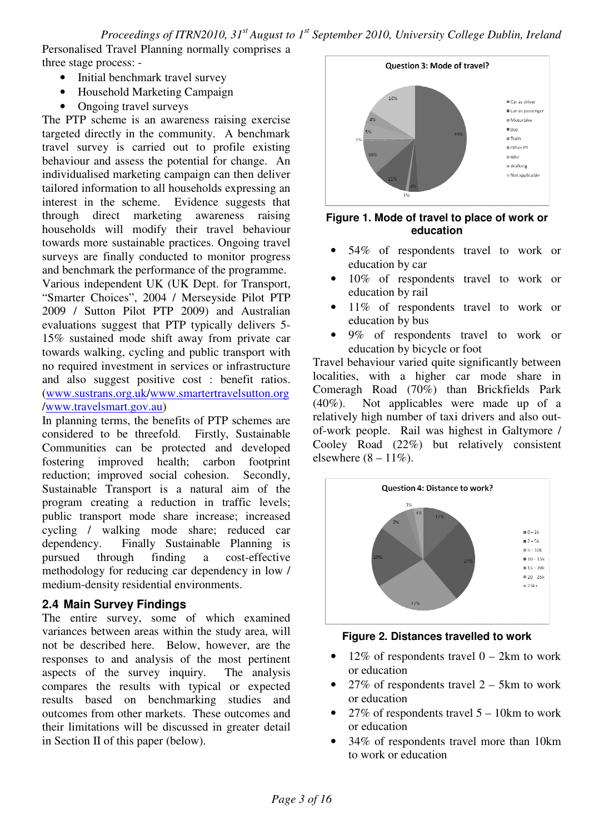Personalised Travel Planning normally comprises a three stage process: -

- Initial benchmark travel survey
- Household Marketing Campaign
- Ongoing travel surveys

The PTP scheme is an awareness raising exercise targeted directly in the community. A benchmark travel survey is carried out to profile existing behaviour and assess the potential for change. An individualised marketing campaign can then deliver tailored information to all households expressing an interest in the scheme. Evidence suggests that through direct marketing awareness raising households will modify their travel behaviour towards more sustainable practices. Ongoing travel surveys are finally conducted to monitor progress and benchmark the performance of the programme.

Various independent UK (UK Dept. for Transport, "Smarter Choices", 2004 / Merseyside Pilot PTP 2009 / Sutton Pilot PTP 2009) and Australian evaluations suggest that PTP typically delivers 5- 15% sustained mode shift away from private car towards walking, cycling and public transport with no required investment in services or infrastructure and also suggest positive cost : benefit ratios. (www.sustrans.org.uk/www.smartertravelsutton.org /www.travelsmart.gov.au)

In planning terms, the benefits of PTP schemes are considered to be threefold. Firstly, Sustainable Communities can be protected and developed fostering improved health; carbon footprint reduction; improved social cohesion. Secondly, Sustainable Transport is a natural aim of the program creating a reduction in traffic levels; public transport mode share increase; increased cycling / walking mode share; reduced car dependency. Finally Sustainable Planning is pursued through finding a cost-effective methodology for reducing car dependency in low / medium-density residential environments.

#### **2.4 Main Survey Findings**

The entire survey, some of which examined variances between areas within the study area, will not be described here. Below, however, are the responses to and analysis of the most pertinent aspects of the survey inquiry. The analysis compares the results with typical or expected results based on benchmarking studies and outcomes from other markets. These outcomes and their limitations will be discussed in greater detail in Section II of this paper (below).



**Figure 1. Mode of travel to place of work or education** 

- 54% of respondents travel to work or education by car
- 10% of respondents travel to work or education by rail
- 11% of respondents travel to work or education by bus
- 9% of respondents travel to work or education by bicycle or foot

Travel behaviour varied quite significantly between localities, with a higher car mode share in Comeragh Road (70%) than Brickfields Park (40%). Not applicables were made up of a relatively high number of taxi drivers and also outof-work people. Rail was highest in Galtymore / Cooley Road (22%) but relatively consistent elsewhere  $(8 - 11\%)$ .



**Figure 2. Distances travelled to work** 

- 12% of respondents travel  $0 2km$  to work or education
- 27% of respondents travel  $2 5km$  to work or education
- 27% of respondents travel  $5 10$ km to work or education
- 34% of respondents travel more than 10km to work or education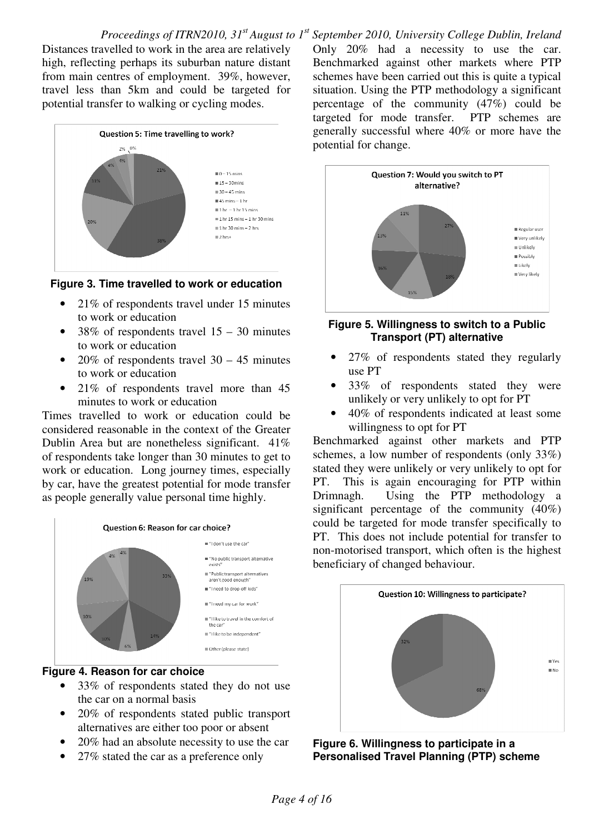Distances travelled to work in the area are relatively high, reflecting perhaps its suburban nature distant from main centres of employment. 39%, however, travel less than 5km and could be targeted for potential transfer to walking or cycling modes.



#### **Figure 3. Time travelled to work or education**

- 21% of respondents travel under 15 minutes to work or education
- 38% of respondents travel  $15 30$  minutes to work or education
- 20% of respondents travel  $30 45$  minutes to work or education
- 21% of respondents travel more than 45 minutes to work or education

Times travelled to work or education could be considered reasonable in the context of the Greater Dublin Area but are nonetheless significant. 41% of respondents take longer than 30 minutes to get to work or education. Long journey times, especially by car, have the greatest potential for mode transfer as people generally value personal time highly.



#### **Figure 4. Reason for car choice**

- 33% of respondents stated they do not use the car on a normal basis
- 20% of respondents stated public transport alternatives are either too poor or absent
- 20% had an absolute necessity to use the car
- 27% stated the car as a preference only

Only 20% had a necessity to use the car. Benchmarked against other markets where PTP schemes have been carried out this is quite a typical situation. Using the PTP methodology a significant percentage of the community (47%) could be targeted for mode transfer. PTP schemes are generally successful where 40% or more have the potential for change.



#### **Figure 5. Willingness to switch to a Public Transport (PT) alternative**

- 27% of respondents stated they regularly use PT
- 33% of respondents stated they were unlikely or very unlikely to opt for PT
- 40% of respondents indicated at least some willingness to opt for PT

Benchmarked against other markets and PTP schemes, a low number of respondents (only 33%) stated they were unlikely or very unlikely to opt for PT. This is again encouraging for PTP within Drimnagh. Using the PTP methodology a significant percentage of the community (40%) could be targeted for mode transfer specifically to PT. This does not include potential for transfer to non-motorised transport, which often is the highest beneficiary of changed behaviour.



**Figure 6. Willingness to participate in a Personalised Travel Planning (PTP) scheme**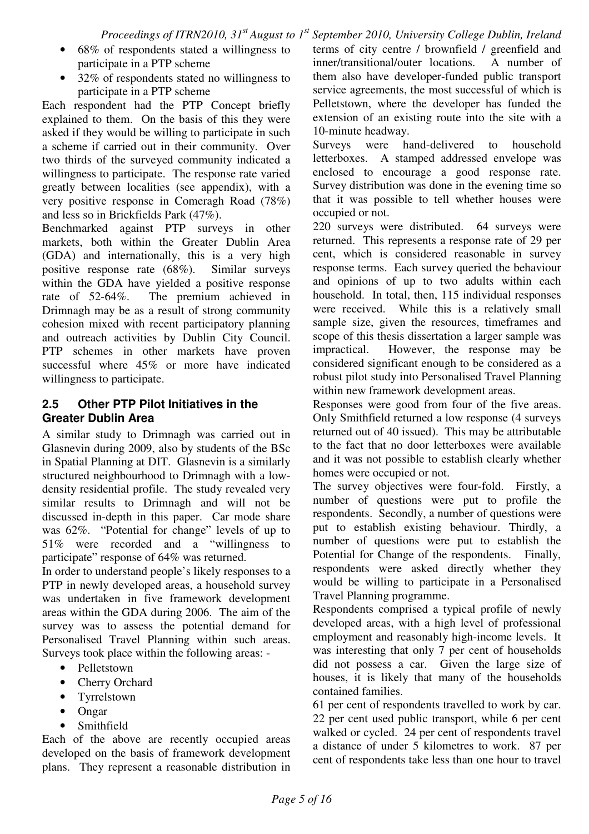- 68% of respondents stated a willingness to participate in a PTP scheme
- 32% of respondents stated no willingness to participate in a PTP scheme

Each respondent had the PTP Concept briefly explained to them. On the basis of this they were asked if they would be willing to participate in such a scheme if carried out in their community. Over two thirds of the surveyed community indicated a willingness to participate. The response rate varied greatly between localities (see appendix), with a very positive response in Comeragh Road (78%) and less so in Brickfields Park (47%).

Benchmarked against PTP surveys in other markets, both within the Greater Dublin Area (GDA) and internationally, this is a very high positive response rate (68%). Similar surveys within the GDA have yielded a positive response rate of 52-64%. The premium achieved in Drimnagh may be as a result of strong community cohesion mixed with recent participatory planning and outreach activities by Dublin City Council. PTP schemes in other markets have proven successful where 45% or more have indicated willingness to participate.

#### **2.5 Other PTP Pilot Initiatives in the Greater Dublin Area**

A similar study to Drimnagh was carried out in Glasnevin during 2009, also by students of the BSc in Spatial Planning at DIT. Glasnevin is a similarly structured neighbourhood to Drimnagh with a lowdensity residential profile. The study revealed very similar results to Drimnagh and will not be discussed in-depth in this paper. Car mode share was 62%. "Potential for change" levels of up to 51% were recorded and a "willingness to participate" response of 64% was returned.

In order to understand people's likely responses to a PTP in newly developed areas, a household survey was undertaken in five framework development areas within the GDA during 2006. The aim of the survey was to assess the potential demand for Personalised Travel Planning within such areas. Surveys took place within the following areas: -

- Pelletstown
- Cherry Orchard
- Tyrrelstown
- Ongar
- Smithfield

Each of the above are recently occupied areas developed on the basis of framework development plans. They represent a reasonable distribution in terms of city centre / brownfield / greenfield and inner/transitional/outer locations. A number of them also have developer-funded public transport service agreements, the most successful of which is Pelletstown, where the developer has funded the extension of an existing route into the site with a 10-minute headway.

Surveys were hand-delivered to household letterboxes. A stamped addressed envelope was enclosed to encourage a good response rate. Survey distribution was done in the evening time so that it was possible to tell whether houses were occupied or not.

220 surveys were distributed. 64 surveys were returned. This represents a response rate of 29 per cent, which is considered reasonable in survey response terms. Each survey queried the behaviour and opinions of up to two adults within each household. In total, then, 115 individual responses were received. While this is a relatively small sample size, given the resources, timeframes and scope of this thesis dissertation a larger sample was impractical. However, the response may be considered significant enough to be considered as a robust pilot study into Personalised Travel Planning within new framework development areas.

Responses were good from four of the five areas. Only Smithfield returned a low response (4 surveys returned out of 40 issued). This may be attributable to the fact that no door letterboxes were available and it was not possible to establish clearly whether homes were occupied or not.

The survey objectives were four-fold. Firstly, a number of questions were put to profile the respondents. Secondly, a number of questions were put to establish existing behaviour. Thirdly, a number of questions were put to establish the Potential for Change of the respondents. Finally, respondents were asked directly whether they would be willing to participate in a Personalised Travel Planning programme.

Respondents comprised a typical profile of newly developed areas, with a high level of professional employment and reasonably high-income levels. It was interesting that only 7 per cent of households did not possess a car. Given the large size of houses, it is likely that many of the households contained families.

61 per cent of respondents travelled to work by car. 22 per cent used public transport, while 6 per cent walked or cycled. 24 per cent of respondents travel a distance of under 5 kilometres to work. 87 per cent of respondents take less than one hour to travel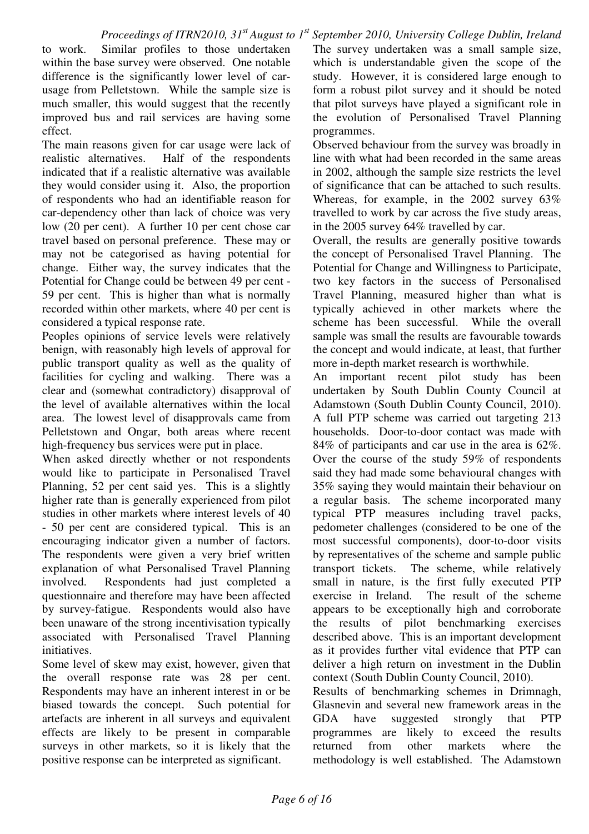to work. Similar profiles to those undertaken within the base survey were observed. One notable difference is the significantly lower level of carusage from Pelletstown. While the sample size is much smaller, this would suggest that the recently improved bus and rail services are having some effect.

The main reasons given for car usage were lack of realistic alternatives. Half of the respondents indicated that if a realistic alternative was available they would consider using it. Also, the proportion of respondents who had an identifiable reason for car-dependency other than lack of choice was very low (20 per cent). A further 10 per cent chose car travel based on personal preference. These may or may not be categorised as having potential for change. Either way, the survey indicates that the Potential for Change could be between 49 per cent - 59 per cent. This is higher than what is normally recorded within other markets, where 40 per cent is considered a typical response rate.

Peoples opinions of service levels were relatively benign, with reasonably high levels of approval for public transport quality as well as the quality of facilities for cycling and walking. There was a clear and (somewhat contradictory) disapproval of the level of available alternatives within the local area. The lowest level of disapprovals came from Pelletstown and Ongar, both areas where recent high-frequency bus services were put in place.

When asked directly whether or not respondents would like to participate in Personalised Travel Planning, 52 per cent said yes. This is a slightly higher rate than is generally experienced from pilot studies in other markets where interest levels of 40 - 50 per cent are considered typical. This is an encouraging indicator given a number of factors. The respondents were given a very brief written explanation of what Personalised Travel Planning involved. Respondents had just completed a questionnaire and therefore may have been affected by survey-fatigue. Respondents would also have been unaware of the strong incentivisation typically associated with Personalised Travel Planning initiatives.

Some level of skew may exist, however, given that the overall response rate was 28 per cent. Respondents may have an inherent interest in or be biased towards the concept. Such potential for artefacts are inherent in all surveys and equivalent effects are likely to be present in comparable surveys in other markets, so it is likely that the positive response can be interpreted as significant.

The survey undertaken was a small sample size, which is understandable given the scope of the study. However, it is considered large enough to form a robust pilot survey and it should be noted that pilot surveys have played a significant role in the evolution of Personalised Travel Planning programmes.

Observed behaviour from the survey was broadly in line with what had been recorded in the same areas in 2002, although the sample size restricts the level of significance that can be attached to such results. Whereas, for example, in the 2002 survey 63% travelled to work by car across the five study areas, in the 2005 survey 64% travelled by car.

Overall, the results are generally positive towards the concept of Personalised Travel Planning. The Potential for Change and Willingness to Participate, two key factors in the success of Personalised Travel Planning, measured higher than what is typically achieved in other markets where the scheme has been successful. While the overall sample was small the results are favourable towards the concept and would indicate, at least, that further more in-depth market research is worthwhile.

An important recent pilot study has been undertaken by South Dublin County Council at Adamstown (South Dublin County Council, 2010). A full PTP scheme was carried out targeting 213 households. Door-to-door contact was made with 84% of participants and car use in the area is 62%. Over the course of the study 59% of respondents said they had made some behavioural changes with 35% saying they would maintain their behaviour on a regular basis. The scheme incorporated many typical PTP measures including travel packs, pedometer challenges (considered to be one of the most successful components), door-to-door visits by representatives of the scheme and sample public transport tickets. The scheme, while relatively small in nature, is the first fully executed PTP exercise in Ireland. The result of the scheme appears to be exceptionally high and corroborate the results of pilot benchmarking exercises described above. This is an important development as it provides further vital evidence that PTP can deliver a high return on investment in the Dublin context (South Dublin County Council, 2010).

Results of benchmarking schemes in Drimnagh, Glasnevin and several new framework areas in the GDA have suggested strongly that PTP programmes are likely to exceed the results returned from other markets where the methodology is well established. The Adamstown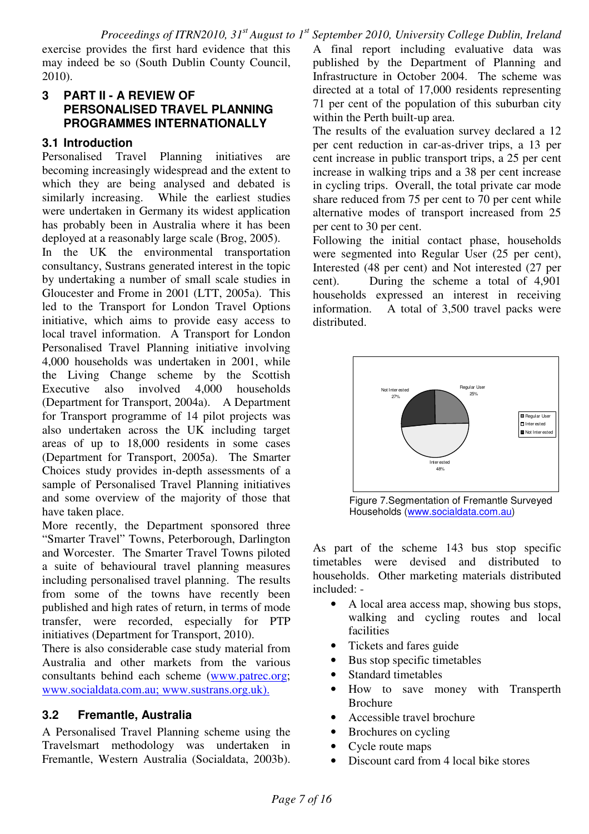exercise provides the first hard evidence that this may indeed be so (South Dublin County Council, 2010).

#### **3 PART II - A REVIEW OF PERSONALISED TRAVEL PLANNING PROGRAMMES INTERNATIONALLY**

## **3.1 Introduction**

Personalised Travel Planning initiatives are becoming increasingly widespread and the extent to which they are being analysed and debated is similarly increasing. While the earliest studies were undertaken in Germany its widest application has probably been in Australia where it has been deployed at a reasonably large scale (Brog, 2005).

In the UK the environmental transportation consultancy, Sustrans generated interest in the topic by undertaking a number of small scale studies in Gloucester and Frome in 2001 (LTT, 2005a). This led to the Transport for London Travel Options initiative, which aims to provide easy access to local travel information. A Transport for London Personalised Travel Planning initiative involving 4,000 households was undertaken in 2001, while the Living Change scheme by the Scottish<br>Executive also involved 4,000 households Executive also involved 4,000 households (Department for Transport, 2004a). A Department for Transport programme of 14 pilot projects was also undertaken across the UK including target areas of up to 18,000 residents in some cases (Department for Transport, 2005a). The Smarter Choices study provides in-depth assessments of a sample of Personalised Travel Planning initiatives and some overview of the majority of those that have taken place.

More recently, the Department sponsored three "Smarter Travel" Towns, Peterborough, Darlington and Worcester. The Smarter Travel Towns piloted a suite of behavioural travel planning measures including personalised travel planning. The results from some of the towns have recently been published and high rates of return, in terms of mode transfer, were recorded, especially for PTP initiatives (Department for Transport, 2010).

There is also considerable case study material from Australia and other markets from the various consultants behind each scheme (www.patrec.org; www.socialdata.com.au; www.sustrans.org.uk).

## **3.2 Fremantle, Australia**

A Personalised Travel Planning scheme using the Travelsmart methodology was undertaken in Fremantle, Western Australia (Socialdata, 2003b).

A final report including evaluative data was published by the Department of Planning and Infrastructure in October 2004. The scheme was directed at a total of 17,000 residents representing 71 per cent of the population of this suburban city within the Perth built-up area.

The results of the evaluation survey declared a 12 per cent reduction in car-as-driver trips, a 13 per cent increase in public transport trips, a 25 per cent increase in walking trips and a 38 per cent increase in cycling trips. Overall, the total private car mode share reduced from 75 per cent to 70 per cent while alternative modes of transport increased from 25 per cent to 30 per cent.

Following the initial contact phase, households were segmented into Regular User (25 per cent), Interested (48 per cent) and Not interested (27 per cent). During the scheme a total of 4,901 households expressed an interest in receiving information. A total of 3,500 travel packs were distributed.



Figure 7.Segmentation of Fremantle Surveyed Households (www.socialdata.com.au)

As part of the scheme 143 bus stop specific timetables were devised and distributed to households. Other marketing materials distributed included: -

- A local area access map, showing bus stops, walking and cycling routes and local facilities
- Tickets and fares guide
- Bus stop specific timetables
- Standard timetables
- How to save money with Transperth Brochure
- Accessible travel brochure
- Brochures on cycling
- Cycle route maps
- Discount card from 4 local bike stores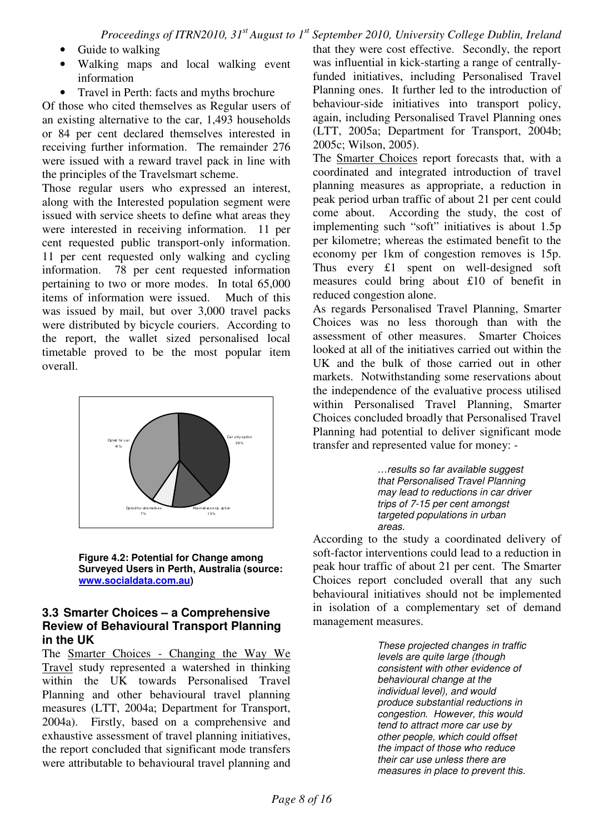- Guide to walking
- Walking maps and local walking event information
- Travel in Perth: facts and myths brochure

Of those who cited themselves as Regular users of an existing alternative to the car, 1,493 households or 84 per cent declared themselves interested in receiving further information. The remainder 276 were issued with a reward travel pack in line with the principles of the Travelsmart scheme.

Those regular users who expressed an interest, along with the Interested population segment were issued with service sheets to define what areas they were interested in receiving information. 11 per cent requested public transport-only information. 11 per cent requested only walking and cycling information. 78 per cent requested information pertaining to two or more modes. In total 65,000 items of information were issued. Much of this was issued by mail, but over 3,000 travel packs were distributed by bicycle couriers. According to the report, the wallet sized personalised local timetable proved to be the most popular item overall.



**Figure 4.2: Potential for Change among Surveyed Users in Perth, Australia (source: www.socialdata.com.au)** 

#### **3.3 Smarter Choices – a Comprehensive Review of Behavioural Transport Planning in the UK**

The Smarter Choices - Changing the Way We Travel study represented a watershed in thinking within the UK towards Personalised Travel Planning and other behavioural travel planning measures (LTT, 2004a; Department for Transport, 2004a). Firstly, based on a comprehensive and exhaustive assessment of travel planning initiatives, the report concluded that significant mode transfers were attributable to behavioural travel planning and that they were cost effective. Secondly, the report was influential in kick-starting a range of centrallyfunded initiatives, including Personalised Travel Planning ones. It further led to the introduction of behaviour-side initiatives into transport policy, again, including Personalised Travel Planning ones (LTT, 2005a; Department for Transport, 2004b; 2005c; Wilson, 2005).

The Smarter Choices report forecasts that, with a coordinated and integrated introduction of travel planning measures as appropriate, a reduction in peak period urban traffic of about 21 per cent could come about. According the study, the cost of implementing such "soft" initiatives is about 1.5p per kilometre; whereas the estimated benefit to the economy per 1km of congestion removes is 15p. Thus every £1 spent on well-designed soft measures could bring about £10 of benefit in reduced congestion alone.

As regards Personalised Travel Planning, Smarter Choices was no less thorough than with the assessment of other measures. Smarter Choices looked at all of the initiatives carried out within the UK and the bulk of those carried out in other markets. Notwithstanding some reservations about the independence of the evaluative process utilised within Personalised Travel Planning, Smarter Choices concluded broadly that Personalised Travel Planning had potential to deliver significant mode transfer and represented value for money: -

> …results so far available suggest that Personalised Travel Planning may lead to reductions in car driver trips of 7-15 per cent amongst targeted populations in urban areas.

According to the study a coordinated delivery of soft-factor interventions could lead to a reduction in peak hour traffic of about 21 per cent. The Smarter Choices report concluded overall that any such behavioural initiatives should not be implemented in isolation of a complementary set of demand management measures.

> These projected changes in traffic levels are quite large (though consistent with other evidence of behavioural change at the individual level), and would produce substantial reductions in congestion. However, this would tend to attract more car use by other people, which could offset the impact of those who reduce their car use unless there are measures in place to prevent this.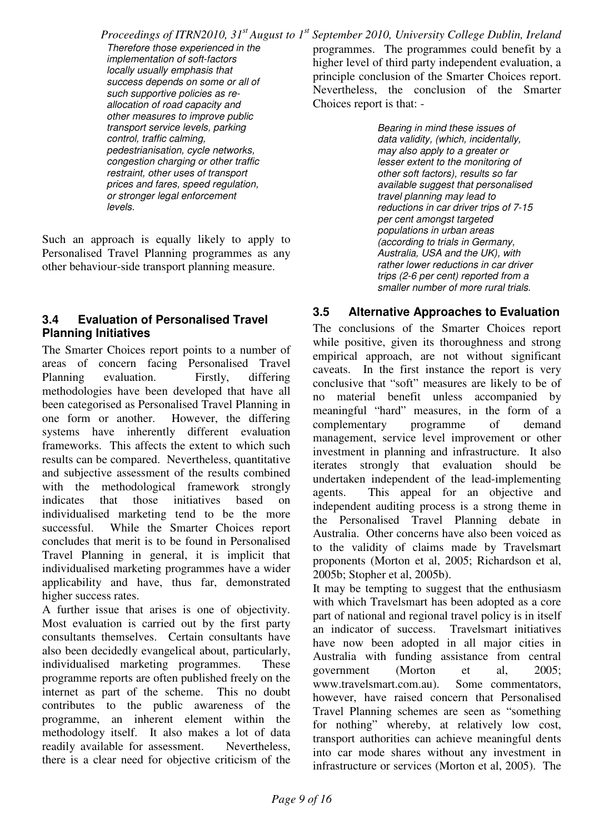*Proceedings of ITRN2010, 31st August to 1st September 2010, University College Dublin, Ireland* Therefore those experienced in the implementation of soft-factors locally usually emphasis that success depends on some or all of such supportive policies as reallocation of road capacity and other measures to improve public transport service levels, parking control, traffic calming, programmes. The programmes could benefit by a higher level of third party independent evaluation, a principle conclusion of the Smarter Choices report. Nevertheless, the conclusion of the Smarter Choices report is that: - Bearing in mind these issues of data validity, (which, incidentally,

may also apply to a greater or lesser extent to the monitoring of other soft factors), results so far available suggest that personalised travel planning may lead to reductions in car driver trips of 7-15 per cent amongst targeted populations in urban areas (according to trials in Germany, Australia, USA and the UK), with rather lower reductions in car driver trips (2-6 per cent) reported from a smaller number of more rural trials.

#### **3.5 Alternative Approaches to Evaluation**

The conclusions of the Smarter Choices report while positive, given its thoroughness and strong empirical approach, are not without significant caveats. In the first instance the report is very conclusive that "soft" measures are likely to be of no material benefit unless accompanied by meaningful "hard" measures, in the form of a complementary programme of demand management, service level improvement or other investment in planning and infrastructure. It also iterates strongly that evaluation should be undertaken independent of the lead-implementing agents. This appeal for an objective and independent auditing process is a strong theme in the Personalised Travel Planning debate in Australia. Other concerns have also been voiced as to the validity of claims made by Travelsmart proponents (Morton et al, 2005; Richardson et al, 2005b; Stopher et al, 2005b).

It may be tempting to suggest that the enthusiasm with which Travelsmart has been adopted as a core part of national and regional travel policy is in itself an indicator of success. Travelsmart initiatives have now been adopted in all major cities in Australia with funding assistance from central government (Morton et al, 2005; www.travelsmart.com.au). Some commentators, however, have raised concern that Personalised Travel Planning schemes are seen as "something for nothing" whereby, at relatively low cost, transport authorities can achieve meaningful dents into car mode shares without any investment in infrastructure or services (Morton et al, 2005). The

Personalised Travel Planning programmes as any other behaviour-side transport planning measure.

Such an approach is equally likely to apply to

levels.

pedestrianisation, cycle networks, congestion charging or other traffic restraint, other uses of transport prices and fares, speed regulation, or stronger legal enforcement

#### **3.4 Evaluation of Personalised Travel Planning Initiatives**

The Smarter Choices report points to a number of areas of concern facing Personalised Travel Planning evaluation. Firstly, differing methodologies have been developed that have all been categorised as Personalised Travel Planning in one form or another. However, the differing systems have inherently different evaluation frameworks. This affects the extent to which such results can be compared. Nevertheless, quantitative and subjective assessment of the results combined with the methodological framework strongly indicates that those initiatives based on individualised marketing tend to be the more successful. While the Smarter Choices report concludes that merit is to be found in Personalised Travel Planning in general, it is implicit that individualised marketing programmes have a wider applicability and have, thus far, demonstrated higher success rates.

A further issue that arises is one of objectivity. Most evaluation is carried out by the first party consultants themselves. Certain consultants have also been decidedly evangelical about, particularly, individualised marketing programmes. These programme reports are often published freely on the internet as part of the scheme. This no doubt contributes to the public awareness of the programme, an inherent element within the methodology itself. It also makes a lot of data readily available for assessment. Nevertheless, there is a clear need for objective criticism of the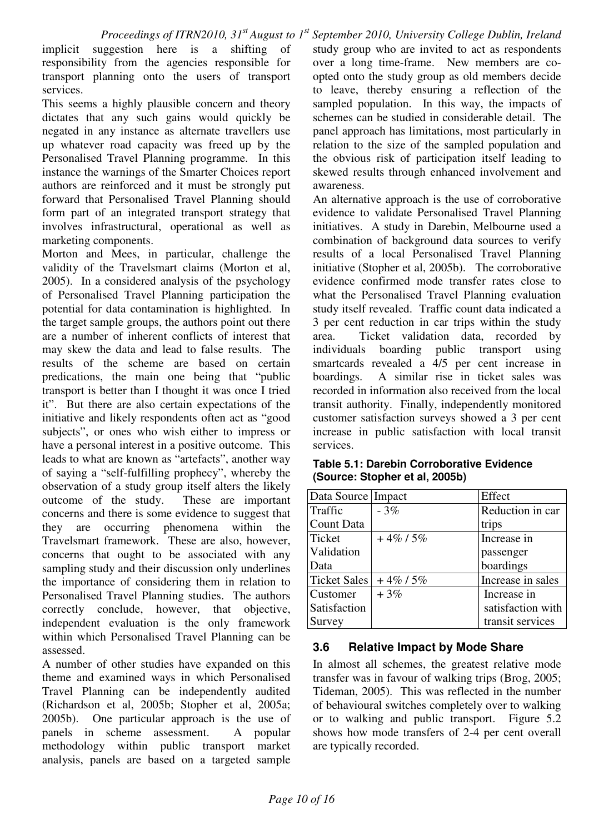implicit suggestion here is a shifting of responsibility from the agencies responsible for transport planning onto the users of transport services.

This seems a highly plausible concern and theory dictates that any such gains would quickly be negated in any instance as alternate travellers use up whatever road capacity was freed up by the Personalised Travel Planning programme. In this instance the warnings of the Smarter Choices report authors are reinforced and it must be strongly put forward that Personalised Travel Planning should form part of an integrated transport strategy that involves infrastructural, operational as well as marketing components.

Morton and Mees, in particular, challenge the validity of the Travelsmart claims (Morton et al, 2005). In a considered analysis of the psychology of Personalised Travel Planning participation the potential for data contamination is highlighted. In the target sample groups, the authors point out there are a number of inherent conflicts of interest that may skew the data and lead to false results. The results of the scheme are based on certain predications, the main one being that "public transport is better than I thought it was once I tried it". But there are also certain expectations of the initiative and likely respondents often act as "good subjects", or ones who wish either to impress or have a personal interest in a positive outcome. This leads to what are known as "artefacts", another way of saying a "self-fulfilling prophecy", whereby the observation of a study group itself alters the likely outcome of the study. These are important concerns and there is some evidence to suggest that they are occurring phenomena within the Travelsmart framework. These are also, however, concerns that ought to be associated with any sampling study and their discussion only underlines the importance of considering them in relation to Personalised Travel Planning studies. The authors correctly conclude, however, that objective, independent evaluation is the only framework within which Personalised Travel Planning can be assessed.

A number of other studies have expanded on this theme and examined ways in which Personalised Travel Planning can be independently audited (Richardson et al, 2005b; Stopher et al, 2005a; 2005b). One particular approach is the use of panels in scheme assessment. A popular methodology within public transport market analysis, panels are based on a targeted sample

study group who are invited to act as respondents over a long time-frame. New members are coopted onto the study group as old members decide to leave, thereby ensuring a reflection of the sampled population. In this way, the impacts of schemes can be studied in considerable detail. The panel approach has limitations, most particularly in relation to the size of the sampled population and the obvious risk of participation itself leading to skewed results through enhanced involvement and awareness.

An alternative approach is the use of corroborative evidence to validate Personalised Travel Planning initiatives. A study in Darebin, Melbourne used a combination of background data sources to verify results of a local Personalised Travel Planning initiative (Stopher et al, 2005b). The corroborative evidence confirmed mode transfer rates close to what the Personalised Travel Planning evaluation study itself revealed. Traffic count data indicated a 3 per cent reduction in car trips within the study area. Ticket validation data, recorded by individuals boarding public transport using smartcards revealed a 4/5 per cent increase in boardings. A similar rise in ticket sales was recorded in information also received from the local transit authority. Finally, independently monitored customer satisfaction surveys showed a 3 per cent increase in public satisfaction with local transit services.

| Table 5.1: Darebin Corroborative Evidence |  |
|-------------------------------------------|--|
| (Source: Stopher et al, 2005b)            |  |

| Data Source Impact  |            | Effect            |
|---------------------|------------|-------------------|
| Traffic             | $-3%$      | Reduction in car  |
| Count Data          |            | trips             |
| <b>Ticket</b>       | $+4\%/5\%$ | Increase in       |
| Validation          |            | passenger         |
| Data                |            | boardings         |
| <b>Ticket Sales</b> | $+4\%/5\%$ | Increase in sales |
| Customer            | $+3%$      | Increase in       |
| Satisfaction        |            | satisfaction with |
| Survey              |            | transit services  |

#### **3.6 Relative Impact by Mode Share**

In almost all schemes, the greatest relative mode transfer was in favour of walking trips (Brog, 2005; Tideman, 2005). This was reflected in the number of behavioural switches completely over to walking or to walking and public transport. Figure 5.2 shows how mode transfers of 2-4 per cent overall are typically recorded.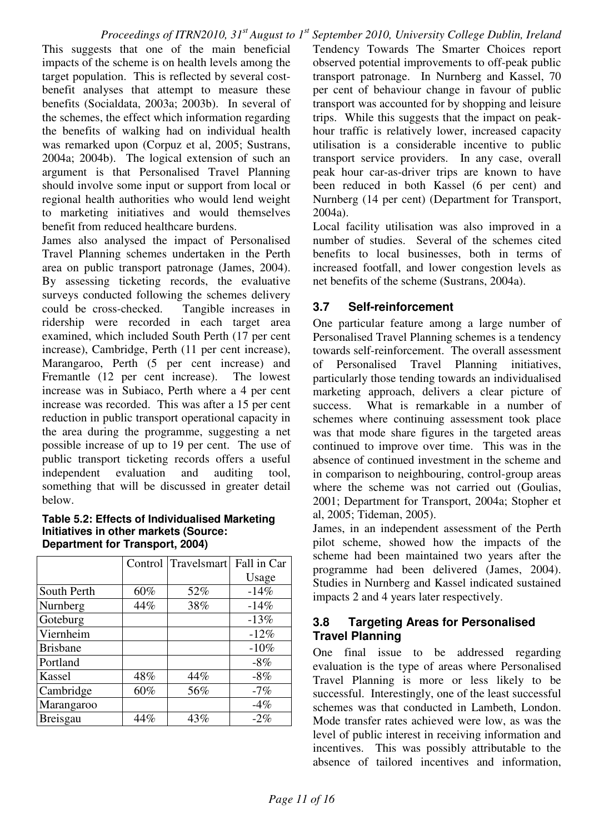This suggests that one of the main beneficial impacts of the scheme is on health levels among the target population. This is reflected by several costbenefit analyses that attempt to measure these benefits (Socialdata, 2003a; 2003b). In several of the schemes, the effect which information regarding the benefits of walking had on individual health was remarked upon (Corpuz et al, 2005; Sustrans, 2004a; 2004b). The logical extension of such an argument is that Personalised Travel Planning should involve some input or support from local or regional health authorities who would lend weight to marketing initiatives and would themselves benefit from reduced healthcare burdens.

James also analysed the impact of Personalised Travel Planning schemes undertaken in the Perth area on public transport patronage (James, 2004). By assessing ticketing records, the evaluative surveys conducted following the schemes delivery could be cross-checked. Tangible increases in ridership were recorded in each target area examined, which included South Perth (17 per cent increase), Cambridge, Perth (11 per cent increase), Marangaroo, Perth (5 per cent increase) and Fremantle (12 per cent increase). The lowest increase was in Subiaco, Perth where a 4 per cent increase was recorded. This was after a 15 per cent reduction in public transport operational capacity in the area during the programme, suggesting a net possible increase of up to 19 per cent. The use of public transport ticketing records offers a useful independent evaluation and auditing tool, something that will be discussed in greater detail below.

#### **Table 5.2: Effects of Individualised Marketing Initiatives in other markets (Source: Department for Transport, 2004)**

|                 | Control | Travelsmart | Fall in Car |
|-----------------|---------|-------------|-------------|
|                 |         |             | Usage       |
| South Perth     | 60%     | 52%         | $-14%$      |
| Nurnberg        | 44%     | 38%         | $-14%$      |
| Goteburg        |         |             | $-13%$      |
| Viernheim       |         |             | $-12%$      |
| <b>Brisbane</b> |         |             | $-10%$      |
| Portland        |         |             | $-8%$       |
| Kassel          | 48%     | 44%         | $-8%$       |
| Cambridge       | 60%     | 56%         | $-7%$       |
| Marangaroo      |         |             | $-4%$       |
| <b>Breisgau</b> | 44%     | 43%         | $-2\%$      |

Tendency Towards The Smarter Choices report observed potential improvements to off-peak public transport patronage. In Nurnberg and Kassel, 70 per cent of behaviour change in favour of public transport was accounted for by shopping and leisure trips. While this suggests that the impact on peakhour traffic is relatively lower, increased capacity utilisation is a considerable incentive to public transport service providers. In any case, overall peak hour car-as-driver trips are known to have been reduced in both Kassel (6 per cent) and Nurnberg (14 per cent) (Department for Transport, 2004a).

Local facility utilisation was also improved in a number of studies. Several of the schemes cited benefits to local businesses, both in terms of increased footfall, and lower congestion levels as net benefits of the scheme (Sustrans, 2004a).

#### **3.7 Self-reinforcement**

One particular feature among a large number of Personalised Travel Planning schemes is a tendency towards self-reinforcement. The overall assessment of Personalised Travel Planning initiatives, particularly those tending towards an individualised marketing approach, delivers a clear picture of success. What is remarkable in a number of schemes where continuing assessment took place was that mode share figures in the targeted areas continued to improve over time. This was in the absence of continued investment in the scheme and in comparison to neighbouring, control-group areas where the scheme was not carried out (Goulias, 2001; Department for Transport, 2004a; Stopher et al, 2005; Tideman, 2005).

James, in an independent assessment of the Perth pilot scheme, showed how the impacts of the scheme had been maintained two years after the programme had been delivered (James, 2004). Studies in Nurnberg and Kassel indicated sustained impacts 2 and 4 years later respectively.

#### **3.8 Targeting Areas for Personalised Travel Planning**

One final issue to be addressed regarding evaluation is the type of areas where Personalised Travel Planning is more or less likely to be successful. Interestingly, one of the least successful schemes was that conducted in Lambeth, London. Mode transfer rates achieved were low, as was the level of public interest in receiving information and incentives. This was possibly attributable to the absence of tailored incentives and information,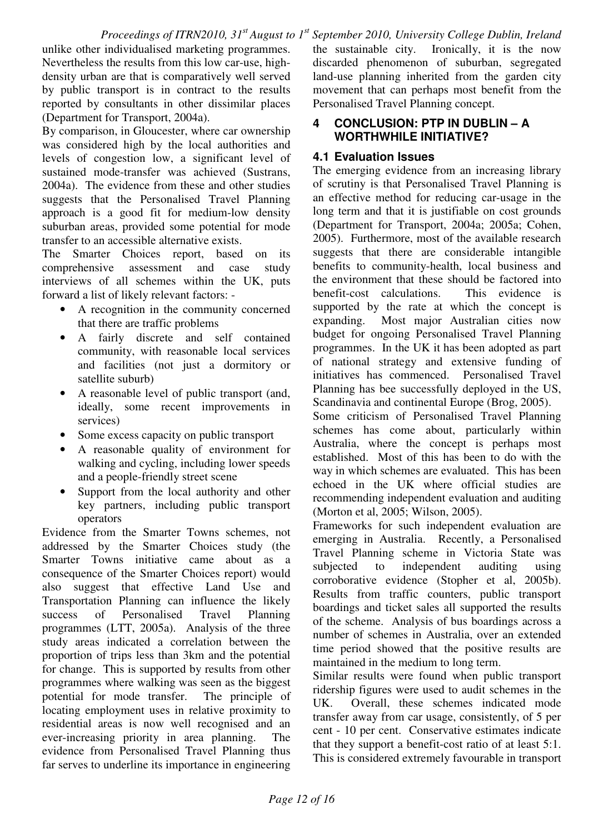unlike other individualised marketing programmes. Nevertheless the results from this low car-use, highdensity urban are that is comparatively well served by public transport is in contract to the results reported by consultants in other dissimilar places (Department for Transport, 2004a).

By comparison, in Gloucester, where car ownership was considered high by the local authorities and levels of congestion low, a significant level of sustained mode-transfer was achieved (Sustrans, 2004a). The evidence from these and other studies suggests that the Personalised Travel Planning approach is a good fit for medium-low density suburban areas, provided some potential for mode transfer to an accessible alternative exists.

The Smarter Choices report, based on its comprehensive assessment and case study interviews of all schemes within the UK, puts forward a list of likely relevant factors: -

- A recognition in the community concerned that there are traffic problems
- A fairly discrete and self contained community, with reasonable local services and facilities (not just a dormitory or satellite suburb)
- A reasonable level of public transport (and, ideally, some recent improvements in services)
- Some excess capacity on public transport
- A reasonable quality of environment for walking and cycling, including lower speeds and a people-friendly street scene
- Support from the local authority and other key partners, including public transport operators

Evidence from the Smarter Towns schemes, not addressed by the Smarter Choices study (the Smarter Towns initiative came about as a consequence of the Smarter Choices report) would also suggest that effective Land Use and Transportation Planning can influence the likely success of Personalised Travel Planning programmes (LTT, 2005a). Analysis of the three study areas indicated a correlation between the proportion of trips less than 3km and the potential for change. This is supported by results from other programmes where walking was seen as the biggest potential for mode transfer. The principle of locating employment uses in relative proximity to residential areas is now well recognised and an ever-increasing priority in area planning. The evidence from Personalised Travel Planning thus far serves to underline its importance in engineering the sustainable city. Ironically, it is the now discarded phenomenon of suburban, segregated land-use planning inherited from the garden city movement that can perhaps most benefit from the Personalised Travel Planning concept.

#### **4 CONCLUSION: PTP IN DUBLIN – A WORTHWHILE INITIATIVE?**

#### **4.1 Evaluation Issues**

The emerging evidence from an increasing library of scrutiny is that Personalised Travel Planning is an effective method for reducing car-usage in the long term and that it is justifiable on cost grounds (Department for Transport, 2004a; 2005a; Cohen, 2005). Furthermore, most of the available research suggests that there are considerable intangible benefits to community-health, local business and the environment that these should be factored into benefit-cost calculations. This evidence is supported by the rate at which the concept is expanding. Most major Australian cities now budget for ongoing Personalised Travel Planning programmes. In the UK it has been adopted as part of national strategy and extensive funding of initiatives has commenced. Personalised Travel Planning has bee successfully deployed in the US, Scandinavia and continental Europe (Brog, 2005).

Some criticism of Personalised Travel Planning schemes has come about, particularly within Australia, where the concept is perhaps most established. Most of this has been to do with the way in which schemes are evaluated. This has been echoed in the UK where official studies are recommending independent evaluation and auditing (Morton et al, 2005; Wilson, 2005).

Frameworks for such independent evaluation are emerging in Australia. Recently, a Personalised Travel Planning scheme in Victoria State was subjected to independent auditing using corroborative evidence (Stopher et al, 2005b). Results from traffic counters, public transport boardings and ticket sales all supported the results of the scheme. Analysis of bus boardings across a number of schemes in Australia, over an extended time period showed that the positive results are maintained in the medium to long term.

Similar results were found when public transport ridership figures were used to audit schemes in the UK. Overall, these schemes indicated mode transfer away from car usage, consistently, of 5 per cent - 10 per cent. Conservative estimates indicate that they support a benefit-cost ratio of at least 5:1. This is considered extremely favourable in transport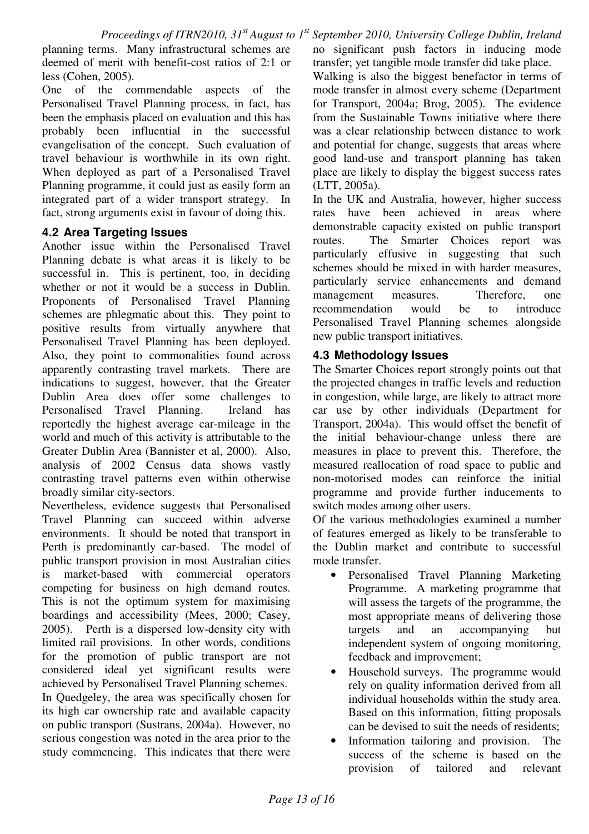planning terms. Many infrastructural schemes are deemed of merit with benefit-cost ratios of 2:1 or less (Cohen, 2005).

One of the commendable aspects of the Personalised Travel Planning process, in fact, has been the emphasis placed on evaluation and this has probably been influential in the successful evangelisation of the concept. Such evaluation of travel behaviour is worthwhile in its own right. When deployed as part of a Personalised Travel Planning programme, it could just as easily form an integrated part of a wider transport strategy. In fact, strong arguments exist in favour of doing this.

#### **4.2 Area Targeting Issues**

Another issue within the Personalised Travel Planning debate is what areas it is likely to be successful in. This is pertinent, too, in deciding whether or not it would be a success in Dublin. Proponents of Personalised Travel Planning schemes are phlegmatic about this. They point to positive results from virtually anywhere that Personalised Travel Planning has been deployed. Also, they point to commonalities found across apparently contrasting travel markets. There are indications to suggest, however, that the Greater Dublin Area does offer some challenges to Personalised Travel Planning. Ireland has reportedly the highest average car-mileage in the world and much of this activity is attributable to the Greater Dublin Area (Bannister et al, 2000). Also, analysis of 2002 Census data shows vastly contrasting travel patterns even within otherwise broadly similar city-sectors.

Nevertheless, evidence suggests that Personalised Travel Planning can succeed within adverse environments. It should be noted that transport in Perth is predominantly car-based. The model of public transport provision in most Australian cities is market-based with commercial operators competing for business on high demand routes. This is not the optimum system for maximising boardings and accessibility (Mees, 2000; Casey, 2005). Perth is a dispersed low-density city with limited rail provisions. In other words, conditions for the promotion of public transport are not considered ideal yet significant results were achieved by Personalised Travel Planning schemes. In Quedgeley, the area was specifically chosen for its high car ownership rate and available capacity on public transport (Sustrans, 2004a). However, no serious congestion was noted in the area prior to the study commencing. This indicates that there were no significant push factors in inducing mode transfer; yet tangible mode transfer did take place. Walking is also the biggest benefactor in terms of mode transfer in almost every scheme (Department for Transport, 2004a; Brog, 2005). The evidence

from the Sustainable Towns initiative where there was a clear relationship between distance to work and potential for change, suggests that areas where good land-use and transport planning has taken place are likely to display the biggest success rates (LTT, 2005a).

In the UK and Australia, however, higher success rates have been achieved in areas where demonstrable capacity existed on public transport routes. The Smarter Choices report was particularly effusive in suggesting that such schemes should be mixed in with harder measures, particularly service enhancements and demand management measures. Therefore, one recommendation would be to introduce Personalised Travel Planning schemes alongside new public transport initiatives.

#### **4.3 Methodology Issues**

The Smarter Choices report strongly points out that the projected changes in traffic levels and reduction in congestion, while large, are likely to attract more car use by other individuals (Department for Transport, 2004a). This would offset the benefit of the initial behaviour-change unless there are measures in place to prevent this. Therefore, the measured reallocation of road space to public and non-motorised modes can reinforce the initial programme and provide further inducements to switch modes among other users.

Of the various methodologies examined a number of features emerged as likely to be transferable to the Dublin market and contribute to successful mode transfer.

- Personalised Travel Planning Marketing Programme. A marketing programme that will assess the targets of the programme, the most appropriate means of delivering those targets and an accompanying but independent system of ongoing monitoring, feedback and improvement;
- Household surveys. The programme would rely on quality information derived from all individual households within the study area. Based on this information, fitting proposals can be devised to suit the needs of residents;
- Information tailoring and provision. The success of the scheme is based on the provision of tailored and relevant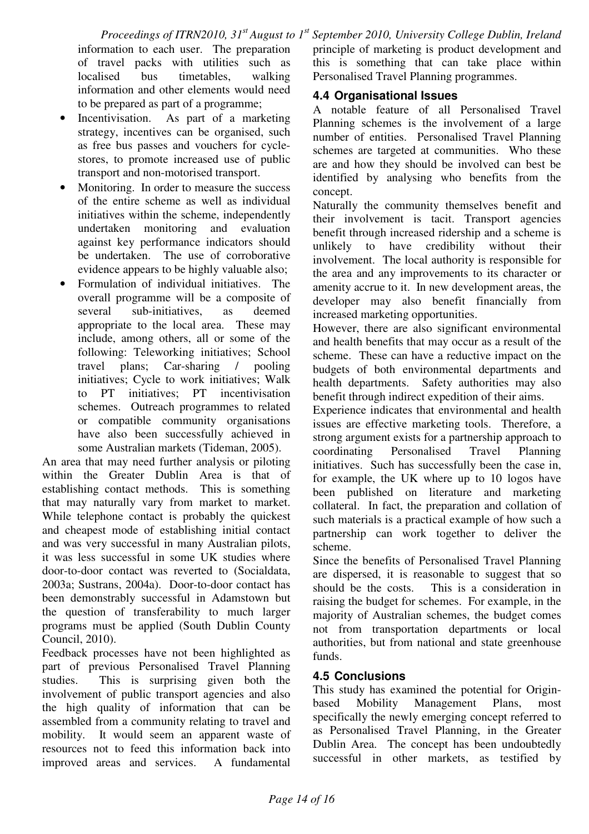*Proceedings of ITRN2010, 31st August to 1st September 2010, University College Dublin, Ireland* information to each user. The preparation of travel packs with utilities such as localised bus timetables, walking information and other elements would need to be prepared as part of a programme; principle of marketing is product development and this is something that can take place within Personalised Travel Planning programmes. **4.4 Organisational Issues** 

- Incentivisation. As part of a marketing strategy, incentives can be organised, such as free bus passes and vouchers for cyclestores, to promote increased use of public transport and non-motorised transport.
- Monitoring. In order to measure the success of the entire scheme as well as individual initiatives within the scheme, independently undertaken monitoring and evaluation against key performance indicators should be undertaken. The use of corroborative evidence appears to be highly valuable also;
- Formulation of individual initiatives. The overall programme will be a composite of several sub-initiatives, as deemed appropriate to the local area. These may include, among others, all or some of the following: Teleworking initiatives; School travel plans; Car-sharing / pooling initiatives; Cycle to work initiatives; Walk to PT initiatives; PT incentivisation schemes. Outreach programmes to related or compatible community organisations have also been successfully achieved in some Australian markets (Tideman, 2005).

An area that may need further analysis or piloting within the Greater Dublin Area is that of establishing contact methods. This is something that may naturally vary from market to market. While telephone contact is probably the quickest and cheapest mode of establishing initial contact and was very successful in many Australian pilots, it was less successful in some UK studies where door-to-door contact was reverted to (Socialdata, 2003a; Sustrans, 2004a). Door-to-door contact has been demonstrably successful in Adamstown but the question of transferability to much larger programs must be applied (South Dublin County Council, 2010).

Feedback processes have not been highlighted as part of previous Personalised Travel Planning studies. This is surprising given both the involvement of public transport agencies and also the high quality of information that can be assembled from a community relating to travel and mobility. It would seem an apparent waste of resources not to feed this information back into improved areas and services. A fundamental A notable feature of all Personalised Travel Planning schemes is the involvement of a large number of entities. Personalised Travel Planning schemes are targeted at communities. Who these are and how they should be involved can best be identified by analysing who benefits from the concept.

Naturally the community themselves benefit and their involvement is tacit. Transport agencies benefit through increased ridership and a scheme is unlikely to have credibility without their involvement. The local authority is responsible for the area and any improvements to its character or amenity accrue to it. In new development areas, the developer may also benefit financially from increased marketing opportunities.

However, there are also significant environmental and health benefits that may occur as a result of the scheme. These can have a reductive impact on the budgets of both environmental departments and health departments. Safety authorities may also benefit through indirect expedition of their aims.

Experience indicates that environmental and health issues are effective marketing tools. Therefore, a strong argument exists for a partnership approach to coordinating Personalised Travel Planning initiatives. Such has successfully been the case in, for example, the UK where up to 10 logos have been published on literature and marketing collateral. In fact, the preparation and collation of such materials is a practical example of how such a partnership can work together to deliver the scheme.

Since the benefits of Personalised Travel Planning are dispersed, it is reasonable to suggest that so should be the costs. This is a consideration in raising the budget for schemes. For example, in the majority of Australian schemes, the budget comes not from transportation departments or local authorities, but from national and state greenhouse funds.

#### **4.5 Conclusions**

This study has examined the potential for Originbased Mobility Management Plans, most specifically the newly emerging concept referred to as Personalised Travel Planning, in the Greater Dublin Area. The concept has been undoubtedly successful in other markets, as testified by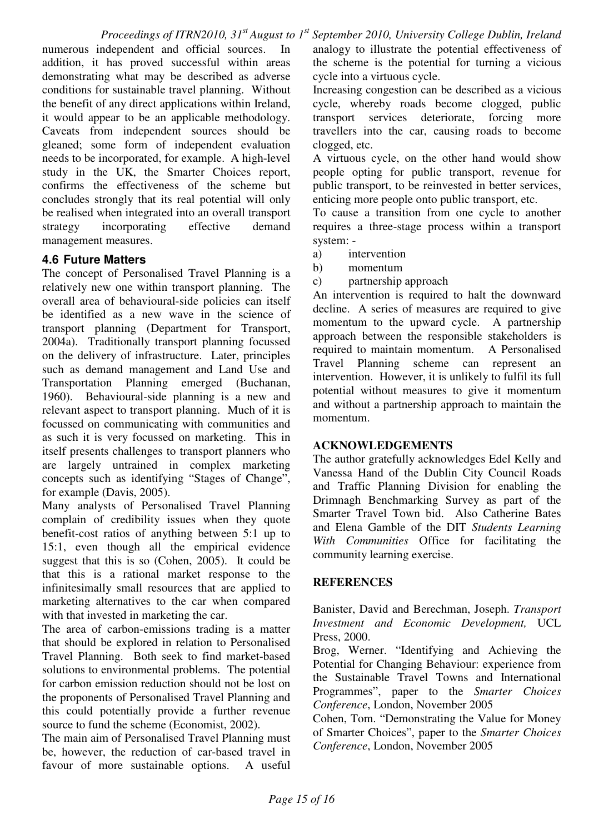numerous independent and official sources. In addition, it has proved successful within areas demonstrating what may be described as adverse conditions for sustainable travel planning. Without the benefit of any direct applications within Ireland, it would appear to be an applicable methodology. Caveats from independent sources should be gleaned; some form of independent evaluation needs to be incorporated, for example. A high-level study in the UK, the Smarter Choices report, confirms the effectiveness of the scheme but concludes strongly that its real potential will only be realised when integrated into an overall transport strategy incorporating effective demand management measures.

#### **4.6 Future Matters**

The concept of Personalised Travel Planning is a relatively new one within transport planning. The overall area of behavioural-side policies can itself be identified as a new wave in the science of transport planning (Department for Transport, 2004a). Traditionally transport planning focussed on the delivery of infrastructure. Later, principles such as demand management and Land Use and Transportation Planning emerged (Buchanan, 1960). Behavioural-side planning is a new and relevant aspect to transport planning. Much of it is focussed on communicating with communities and as such it is very focussed on marketing. This in itself presents challenges to transport planners who are largely untrained in complex marketing concepts such as identifying "Stages of Change", for example (Davis, 2005).

Many analysts of Personalised Travel Planning complain of credibility issues when they quote benefit-cost ratios of anything between 5:1 up to 15:1, even though all the empirical evidence suggest that this is so (Cohen, 2005). It could be that this is a rational market response to the infinitesimally small resources that are applied to marketing alternatives to the car when compared with that invested in marketing the car.

The area of carbon-emissions trading is a matter that should be explored in relation to Personalised Travel Planning. Both seek to find market-based solutions to environmental problems. The potential for carbon emission reduction should not be lost on the proponents of Personalised Travel Planning and this could potentially provide a further revenue source to fund the scheme (Economist, 2002).

The main aim of Personalised Travel Planning must be, however, the reduction of car-based travel in favour of more sustainable options. A useful

analogy to illustrate the potential effectiveness of the scheme is the potential for turning a vicious cycle into a virtuous cycle.

Increasing congestion can be described as a vicious cycle, whereby roads become clogged, public transport services deteriorate, forcing more travellers into the car, causing roads to become clogged, etc.

A virtuous cycle, on the other hand would show people opting for public transport, revenue for public transport, to be reinvested in better services, enticing more people onto public transport, etc.

To cause a transition from one cycle to another requires a three-stage process within a transport system: -

- a) intervention
- b) momentum
- c) partnership approach

An intervention is required to halt the downward decline. A series of measures are required to give momentum to the upward cycle. A partnership approach between the responsible stakeholders is required to maintain momentum. A Personalised Travel Planning scheme can represent an intervention. However, it is unlikely to fulfil its full potential without measures to give it momentum and without a partnership approach to maintain the momentum.

#### **ACKNOWLEDGEMENTS**

The author gratefully acknowledges Edel Kelly and Vanessa Hand of the Dublin City Council Roads and Traffic Planning Division for enabling the Drimnagh Benchmarking Survey as part of the Smarter Travel Town bid. Also Catherine Bates and Elena Gamble of the DIT *Students Learning With Communities* Office for facilitating the community learning exercise.

#### **REFERENCES**

Banister, David and Berechman, Joseph. *Transport Investment and Economic Development,* UCL Press, 2000.

Brog, Werner. "Identifying and Achieving the Potential for Changing Behaviour: experience from the Sustainable Travel Towns and International Programmes", paper to the *Smarter Choices Conference*, London, November 2005

Cohen, Tom. "Demonstrating the Value for Money of Smarter Choices", paper to the *Smarter Choices Conference*, London, November 2005